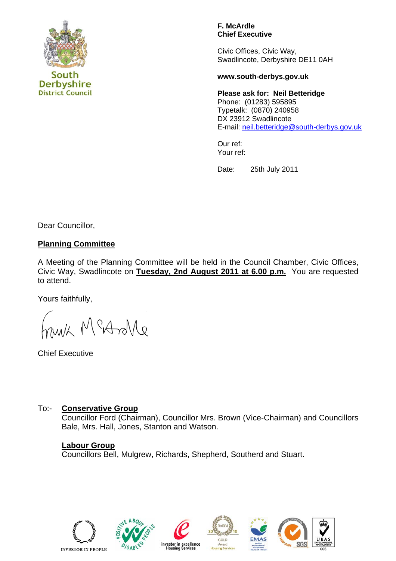

**District Council** 

**Derbyshire** 

**F. McArdle Chief Executive** 

Civic Offices, Civic Way, Swadlincote, Derbyshire DE11 0AH

#### **www.south-derbys.gov.uk**

**Please ask for: Neil Betteridge**  Phone: (01283) 595895 Typetalk: (0870) 240958 DX 23912 Swadlincote E-mail: [neil.betteridge@south-derbys.gov.uk](mailto:neil.betteridge@south-derbys.gov.uk)

Our ref: Your ref:

Date: 25th July 2011

Dear Councillor,

# **Planning Committee**

A Meeting of the Planning Committee will be held in the Council Chamber, Civic Offices, Civic Way, Swadlincote on **Tuesday, 2nd August 2011 at 6.00 p.m.** You are requested to attend.

Yours faithfully,

M Martille

Chief Executive

# To:- **Conservative Group**

 Councillor Ford (Chairman), Councillor Mrs. Brown (Vice-Chairman) and Councillors Bale, Mrs. Hall, Jones, Stanton and Watson.

# **Labour Group**

Councillors Bell, Mulgrew, Richards, Shepherd, Southerd and Stuart.